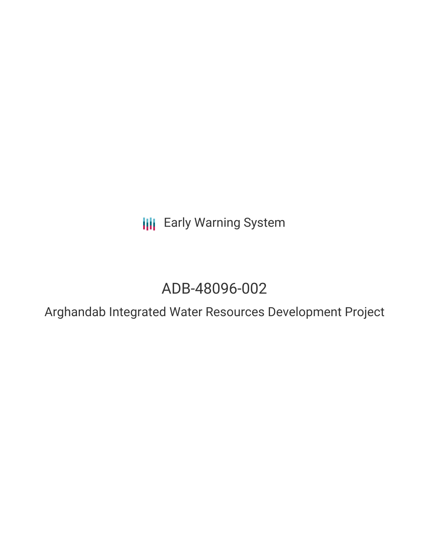**III** Early Warning System

# ADB-48096-002

Arghandab Integrated Water Resources Development Project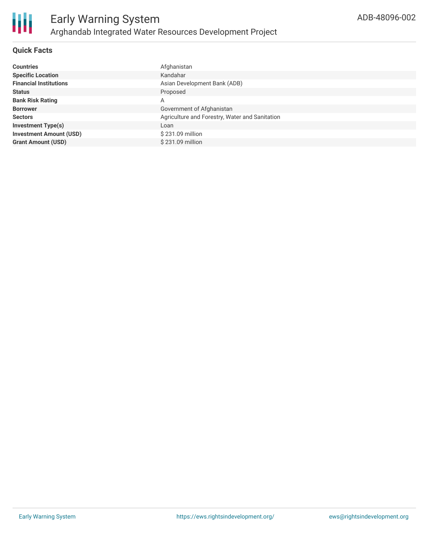

# **Quick Facts**

| <b>Countries</b>               | Afghanistan                                    |
|--------------------------------|------------------------------------------------|
| <b>Specific Location</b>       | Kandahar                                       |
| <b>Financial Institutions</b>  | Asian Development Bank (ADB)                   |
| <b>Status</b>                  | Proposed                                       |
| <b>Bank Risk Rating</b>        | A                                              |
| <b>Borrower</b>                | Government of Afghanistan                      |
| <b>Sectors</b>                 | Agriculture and Forestry, Water and Sanitation |
| <b>Investment Type(s)</b>      | Loan                                           |
| <b>Investment Amount (USD)</b> | \$231.09 million                               |
| <b>Grant Amount (USD)</b>      | $$231.09$ million                              |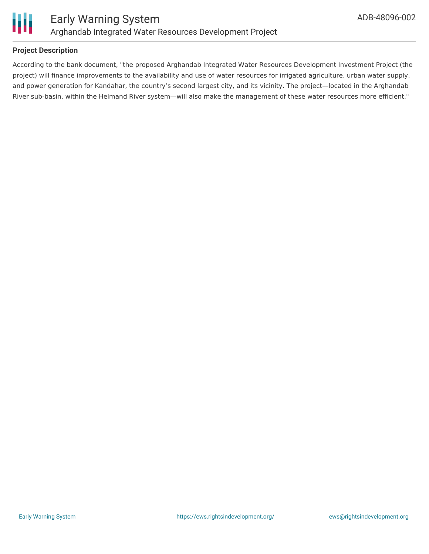

# **Project Description**

According to the bank document, "the proposed Arghandab Integrated Water Resources Development Investment Project (the project) will finance improvements to the availability and use of water resources for irrigated agriculture, urban water supply, and power generation for Kandahar, the country's second largest city, and its vicinity. The project—located in the Arghandab River sub-basin, within the Helmand River system—will also make the management of these water resources more efficient."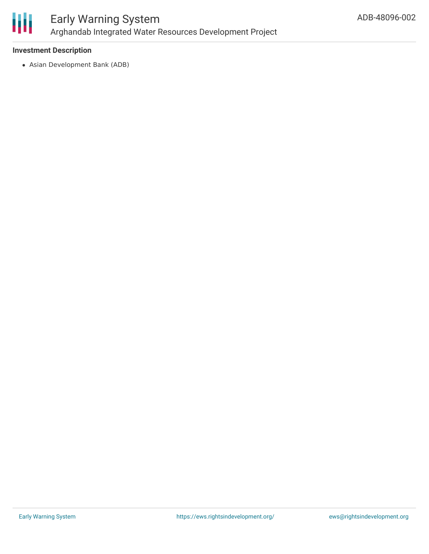

# **Investment Description**

Asian Development Bank (ADB)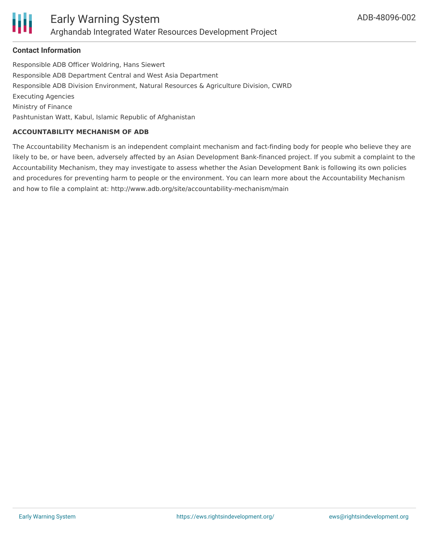

#### **Contact Information**

Responsible ADB Officer Woldring, Hans Siewert Responsible ADB Department Central and West Asia Department Responsible ADB Division Environment, Natural Resources & Agriculture Division, CWRD Executing Agencies Ministry of Finance Pashtunistan Watt, Kabul, Islamic Republic of Afghanistan

# **ACCOUNTABILITY MECHANISM OF ADB**

The Accountability Mechanism is an independent complaint mechanism and fact-finding body for people who believe they are likely to be, or have been, adversely affected by an Asian Development Bank-financed project. If you submit a complaint to the Accountability Mechanism, they may investigate to assess whether the Asian Development Bank is following its own policies and procedures for preventing harm to people or the environment. You can learn more about the Accountability Mechanism and how to file a complaint at: http://www.adb.org/site/accountability-mechanism/main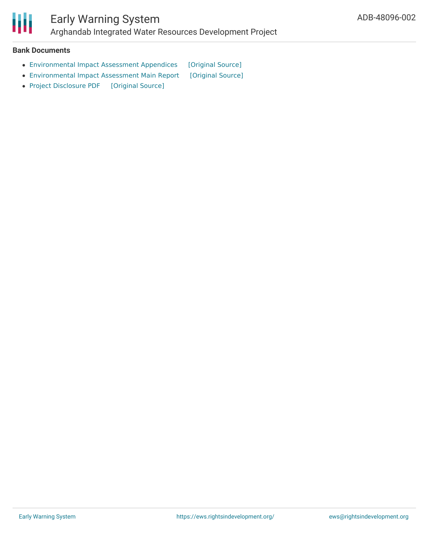

## **Bank Documents**

- [Environmental](https://ewsdata.rightsindevelopment.org/files/documents/02/ADB-48096-002_vyCmvis.pdf) Impact Assessment Appendices [\[Original](https://www.adb.org/projects/documents/afg-48096-002-eia) Source]
- [Environmental](https://ewsdata.rightsindevelopment.org/files/documents/02/ADB-48096-002_vJ3IppH.pdf) Impact Assessment Main Report [\[Original](https://www.adb.org/projects/documents/afg-48096-002-eia) Source]
- Project [Disclosure](https://ewsdata.rightsindevelopment.org/files/documents/02/ADB-48096-002.pdf) PDF [\[Original](https://www.adb.org/printpdf/projects/48096-002/main) Source]